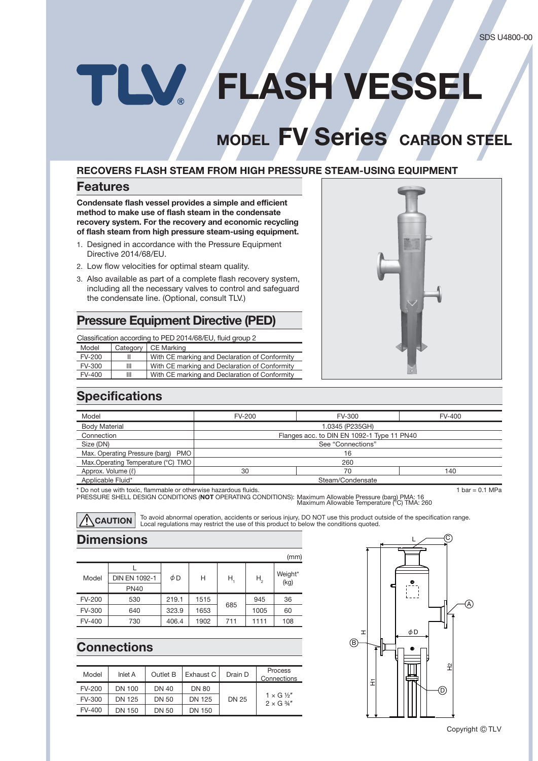# **FLASH VESSEL**

# **MODEL FV Series** CARBON STEEL

#### **RECOVERS FLASH STEAM FROM HIGH PRESSURE STEAM-USING EQUIPMENT**

#### **Features**

**Condensate flash vessel provides a simple and efficient** method to make use of flash steam in the condensate **recovery system. For the recovery and economic recycling**  of flash steam from high pressure steam-using equipment.

- 1. Designed in accordance with the Pressure Equipment Directive 2014/68/EU.
- 2. Low flow velocities for optimal steam quality.
- 3. Also available as part of a complete flash recovery system, including all the necessary valves to control and safeguard the condensate line. (Optional, consult TLV.)

#### **Pressure Equipment Directive (PED)**

Classification according to PED 2014/68/EU, fluid group 2

| Category<br>Model<br>CE Marking                                |  |
|----------------------------------------------------------------|--|
| With CE marking and Declaration of Conformity<br>FV-200        |  |
| With CE marking and Declaration of Conformity<br>FV-300<br>Ш   |  |
| With CE marking and Declaration of Conformity<br>$FV-400$<br>Ш |  |



## **Specifications**

| Model                              | FV-200                                     | FV-300 | FV-400 |  |
|------------------------------------|--------------------------------------------|--------|--------|--|
| <b>Body Material</b>               | 1.0345 (P235GH)                            |        |        |  |
| Connection                         | Flanges acc. to DIN EN 1092-1 Type 11 PN40 |        |        |  |
| Size (DN)                          | See "Connections"                          |        |        |  |
| Max. Operating Pressure (barg) PMO | 16                                         |        |        |  |
| Max.Operating Temperature (°C) TMO | 260                                        |        |        |  |
| Approx. Volume (ℓ)                 | 30                                         | 70     | 140    |  |
| Applicable Fluid*                  | Steam/Condensate                           |        |        |  |
|                                    |                                            |        |        |  |

\* Do not use with toxic, flammable or otherwise hazardous fluids. 1 bar = 0.1 MPa

PRESSURE SHELL DESIGN CONDITIONS (**NOT** OPERATING CONDITIONS): Maximum Allowable Pressure (barg) PMA: 16 Maximum Allowable Temperature (°C) TMA: 260

**CAUTION** To avoid abnormal operation, accidents or serious injury, DO NOT use this product outside of the specification range.<br>**CAUTION** Local regulations may restrict the use of this product to below the conditions quote

## **Dimensions**

|               |                      |       |      |     |         | (mm)            |
|---------------|----------------------|-------|------|-----|---------|-----------------|
|               |                      |       |      |     | $H_{2}$ | Weight*<br>(kg) |
| Model         | <b>DIN EN 1092-1</b> | φD    | Н    | Н.  |         |                 |
|               | <b>PN40</b>          |       |      |     |         |                 |
| <b>FV-200</b> | 530                  | 219.1 | 1515 |     | 945     | 36              |
| <b>FV-300</b> | 640                  | 323.9 | 1653 | 685 | 1005    | 60              |
| <b>FV-400</b> | 730                  | 406.4 | 1902 | 711 | 1111    | 108             |

## **Connections**

| Model  | Inlet A | Outlet B     | Exhaust C    | Drain D      | Process<br>Connections                          |
|--------|---------|--------------|--------------|--------------|-------------------------------------------------|
| FV-200 | DN 100  | DN 40        | <b>DN 80</b> |              |                                                 |
| FV-300 | DN 125  | DN 50        | DN 125       | <b>DN 25</b> | $1 \times G$ $\frac{1}{2}$<br>$2 \times G$ 3/4" |
| FV-400 | DN 150  | <b>DN 50</b> | DN 150       |              |                                                 |